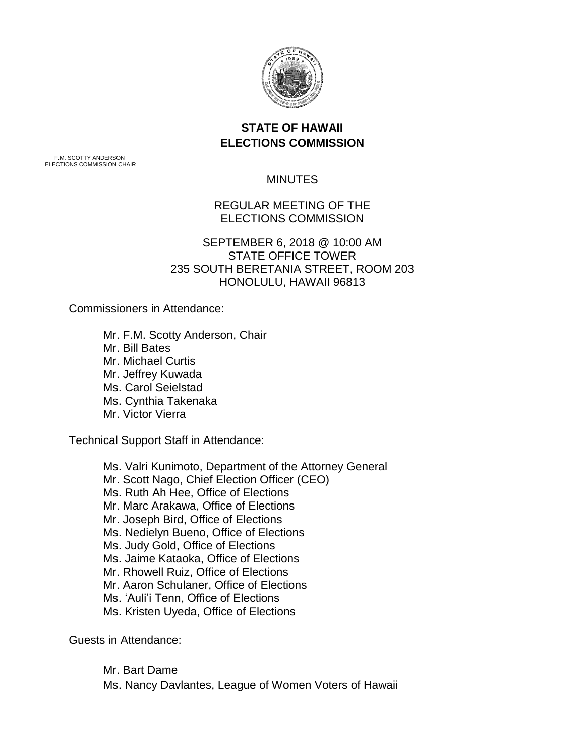

# **STATE OF HAWAII ELECTIONS COMMISSION**

F.M. SCOTTY ANDERSON ELECTIONS COMMISSION CHAIR

### **MINUTES**

# REGULAR MEETING OF THE ELECTIONS COMMISSION

## SEPTEMBER 6, 2018 @ 10:00 AM STATE OFFICE TOWER 235 SOUTH BERETANIA STREET, ROOM 203 HONOLULU, HAWAII 96813

Commissioners in Attendance:

Mr. F.M. Scotty Anderson, Chair Mr. Bill Bates Mr. Michael Curtis Mr. Jeffrey Kuwada Ms. Carol Seielstad Ms. Cynthia Takenaka Mr. Victor Vierra

Technical Support Staff in Attendance:

Ms. Valri Kunimoto, Department of the Attorney General Mr. Scott Nago, Chief Election Officer (CEO) Ms. Ruth Ah Hee, Office of Elections Mr. Marc Arakawa, Office of Elections Mr. Joseph Bird, Office of Elections Ms. Nedielyn Bueno, Office of Elections Ms. Judy Gold, Office of Elections Ms. Jaime Kataoka, Office of Elections Mr. Rhowell Ruiz, Office of Elections Mr. Aaron Schulaner, Office of Elections Ms. 'Auli'i Tenn, Office of Elections Ms. Kristen Uyeda, Office of Elections

Guests in Attendance:

Mr. Bart Dame Ms. Nancy Davlantes, League of Women Voters of Hawaii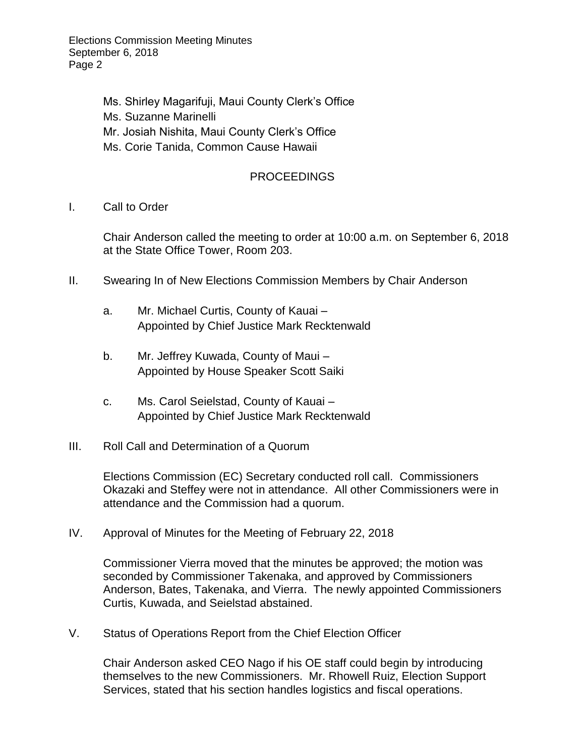Elections Commission Meeting Minutes September 6, 2018 Page 2

> Ms. Shirley Magarifuji, Maui County Clerk's Office Ms. Suzanne Marinelli Mr. Josiah Nishita, Maui County Clerk's Office Ms. Corie Tanida, Common Cause Hawaii

## PROCEEDINGS

I. Call to Order

Chair Anderson called the meeting to order at 10:00 a.m. on September 6, 2018 at the State Office Tower, Room 203.

- II. Swearing In of New Elections Commission Members by Chair Anderson
	- a. Mr. Michael Curtis, County of Kauai Appointed by Chief Justice Mark Recktenwald
	- b. Mr. Jeffrey Kuwada, County of Maui Appointed by House Speaker Scott Saiki
	- c. Ms. Carol Seielstad, County of Kauai Appointed by Chief Justice Mark Recktenwald
- III. Roll Call and Determination of a Quorum

Elections Commission (EC) Secretary conducted roll call. Commissioners Okazaki and Steffey were not in attendance. All other Commissioners were in attendance and the Commission had a quorum.

IV. Approval of Minutes for the Meeting of February 22, 2018

Commissioner Vierra moved that the minutes be approved; the motion was seconded by Commissioner Takenaka, and approved by Commissioners Anderson, Bates, Takenaka, and Vierra. The newly appointed Commissioners Curtis, Kuwada, and Seielstad abstained.

V. Status of Operations Report from the Chief Election Officer

Chair Anderson asked CEO Nago if his OE staff could begin by introducing themselves to the new Commissioners. Mr. Rhowell Ruiz, Election Support Services, stated that his section handles logistics and fiscal operations.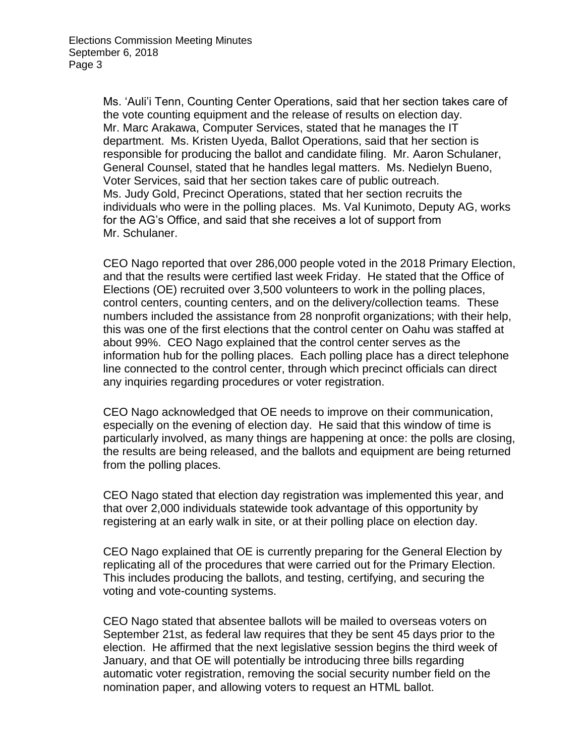Ms. 'Auli'i Tenn, Counting Center Operations, said that her section takes care of the vote counting equipment and the release of results on election day. Mr. Marc Arakawa, Computer Services, stated that he manages the IT department. Ms. Kristen Uyeda, Ballot Operations, said that her section is responsible for producing the ballot and candidate filing. Mr. Aaron Schulaner, General Counsel, stated that he handles legal matters. Ms. Nedielyn Bueno, Voter Services, said that her section takes care of public outreach. Ms. Judy Gold, Precinct Operations, stated that her section recruits the individuals who were in the polling places. Ms. Val Kunimoto, Deputy AG, works for the AG's Office, and said that she receives a lot of support from Mr. Schulaner.

CEO Nago reported that over 286,000 people voted in the 2018 Primary Election, and that the results were certified last week Friday. He stated that the Office of Elections (OE) recruited over 3,500 volunteers to work in the polling places, control centers, counting centers, and on the delivery/collection teams. These numbers included the assistance from 28 nonprofit organizations; with their help, this was one of the first elections that the control center on Oahu was staffed at about 99%. CEO Nago explained that the control center serves as the information hub for the polling places. Each polling place has a direct telephone line connected to the control center, through which precinct officials can direct any inquiries regarding procedures or voter registration.

CEO Nago acknowledged that OE needs to improve on their communication, especially on the evening of election day. He said that this window of time is particularly involved, as many things are happening at once: the polls are closing, the results are being released, and the ballots and equipment are being returned from the polling places.

CEO Nago stated that election day registration was implemented this year, and that over 2,000 individuals statewide took advantage of this opportunity by registering at an early walk in site, or at their polling place on election day.

CEO Nago explained that OE is currently preparing for the General Election by replicating all of the procedures that were carried out for the Primary Election. This includes producing the ballots, and testing, certifying, and securing the voting and vote-counting systems.

CEO Nago stated that absentee ballots will be mailed to overseas voters on September 21st, as federal law requires that they be sent 45 days prior to the election. He affirmed that the next legislative session begins the third week of January, and that OE will potentially be introducing three bills regarding automatic voter registration, removing the social security number field on the nomination paper, and allowing voters to request an HTML ballot.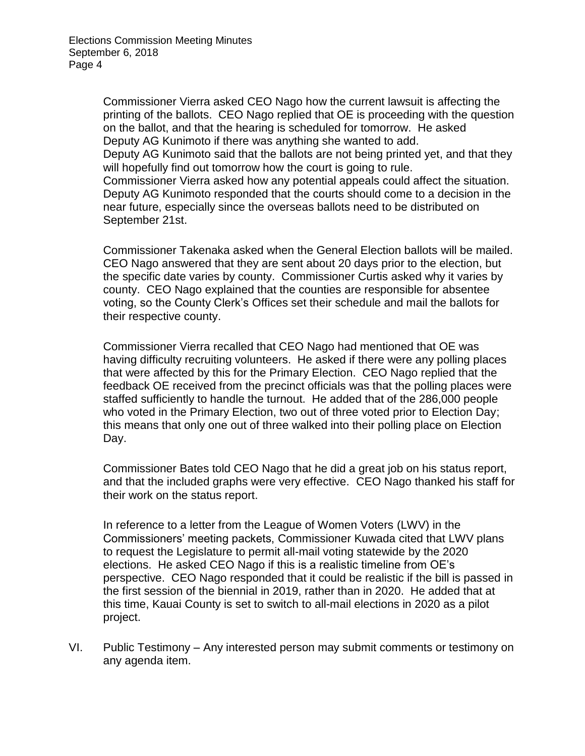Commissioner Vierra asked CEO Nago how the current lawsuit is affecting the printing of the ballots. CEO Nago replied that OE is proceeding with the question on the ballot, and that the hearing is scheduled for tomorrow. He asked Deputy AG Kunimoto if there was anything she wanted to add. Deputy AG Kunimoto said that the ballots are not being printed yet, and that they will hopefully find out tomorrow how the court is going to rule. Commissioner Vierra asked how any potential appeals could affect the situation. Deputy AG Kunimoto responded that the courts should come to a decision in the near future, especially since the overseas ballots need to be distributed on September 21st.

Commissioner Takenaka asked when the General Election ballots will be mailed. CEO Nago answered that they are sent about 20 days prior to the election, but the specific date varies by county. Commissioner Curtis asked why it varies by county. CEO Nago explained that the counties are responsible for absentee voting, so the County Clerk's Offices set their schedule and mail the ballots for their respective county.

Commissioner Vierra recalled that CEO Nago had mentioned that OE was having difficulty recruiting volunteers. He asked if there were any polling places that were affected by this for the Primary Election. CEO Nago replied that the feedback OE received from the precinct officials was that the polling places were staffed sufficiently to handle the turnout. He added that of the 286,000 people who voted in the Primary Election, two out of three voted prior to Election Day; this means that only one out of three walked into their polling place on Election Day.

Commissioner Bates told CEO Nago that he did a great job on his status report, and that the included graphs were very effective. CEO Nago thanked his staff for their work on the status report.

In reference to a letter from the League of Women Voters (LWV) in the Commissioners' meeting packets, Commissioner Kuwada cited that LWV plans to request the Legislature to permit all-mail voting statewide by the 2020 elections. He asked CEO Nago if this is a realistic timeline from OE's perspective. CEO Nago responded that it could be realistic if the bill is passed in the first session of the biennial in 2019, rather than in 2020. He added that at this time, Kauai County is set to switch to all-mail elections in 2020 as a pilot project.

VI. Public Testimony – Any interested person may submit comments or testimony on any agenda item.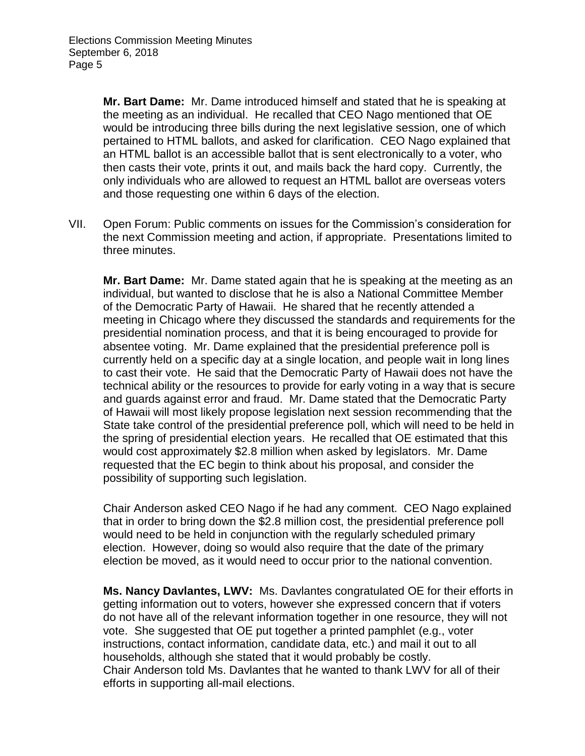**Mr. Bart Dame:** Mr. Dame introduced himself and stated that he is speaking at the meeting as an individual. He recalled that CEO Nago mentioned that OE would be introducing three bills during the next legislative session, one of which pertained to HTML ballots, and asked for clarification. CEO Nago explained that an HTML ballot is an accessible ballot that is sent electronically to a voter, who then casts their vote, prints it out, and mails back the hard copy. Currently, the only individuals who are allowed to request an HTML ballot are overseas voters and those requesting one within 6 days of the election.

VII. Open Forum: Public comments on issues for the Commission's consideration for the next Commission meeting and action, if appropriate. Presentations limited to three minutes.

**Mr. Bart Dame:** Mr. Dame stated again that he is speaking at the meeting as an individual, but wanted to disclose that he is also a National Committee Member of the Democratic Party of Hawaii. He shared that he recently attended a meeting in Chicago where they discussed the standards and requirements for the presidential nomination process, and that it is being encouraged to provide for absentee voting. Mr. Dame explained that the presidential preference poll is currently held on a specific day at a single location, and people wait in long lines to cast their vote. He said that the Democratic Party of Hawaii does not have the technical ability or the resources to provide for early voting in a way that is secure and guards against error and fraud. Mr. Dame stated that the Democratic Party of Hawaii will most likely propose legislation next session recommending that the State take control of the presidential preference poll, which will need to be held in the spring of presidential election years. He recalled that OE estimated that this would cost approximately \$2.8 million when asked by legislators. Mr. Dame requested that the EC begin to think about his proposal, and consider the possibility of supporting such legislation.

Chair Anderson asked CEO Nago if he had any comment. CEO Nago explained that in order to bring down the \$2.8 million cost, the presidential preference poll would need to be held in conjunction with the regularly scheduled primary election. However, doing so would also require that the date of the primary election be moved, as it would need to occur prior to the national convention.

**Ms. Nancy Davlantes, LWV:** Ms. Davlantes congratulated OE for their efforts in getting information out to voters, however she expressed concern that if voters do not have all of the relevant information together in one resource, they will not vote. She suggested that OE put together a printed pamphlet (e.g., voter instructions, contact information, candidate data, etc.) and mail it out to all households, although she stated that it would probably be costly. Chair Anderson told Ms. Davlantes that he wanted to thank LWV for all of their efforts in supporting all-mail elections.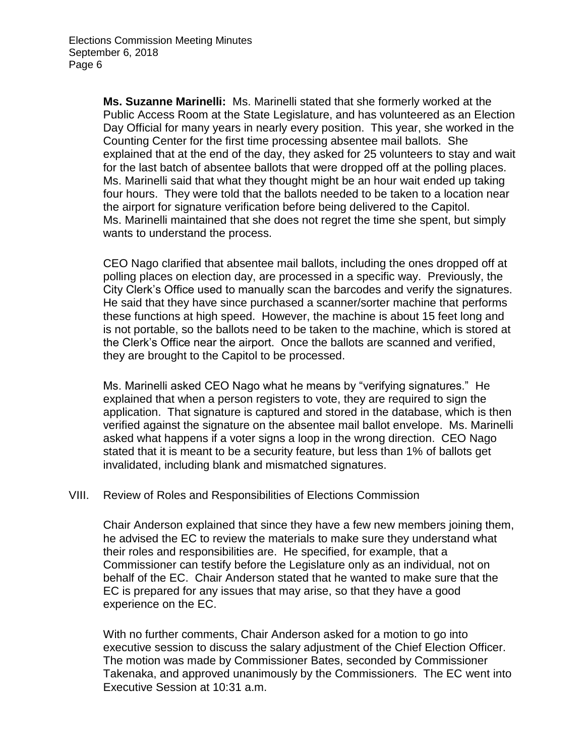**Ms. Suzanne Marinelli:** Ms. Marinelli stated that she formerly worked at the Public Access Room at the State Legislature, and has volunteered as an Election Day Official for many years in nearly every position. This year, she worked in the Counting Center for the first time processing absentee mail ballots. She explained that at the end of the day, they asked for 25 volunteers to stay and wait for the last batch of absentee ballots that were dropped off at the polling places. Ms. Marinelli said that what they thought might be an hour wait ended up taking four hours. They were told that the ballots needed to be taken to a location near the airport for signature verification before being delivered to the Capitol. Ms. Marinelli maintained that she does not regret the time she spent, but simply wants to understand the process.

CEO Nago clarified that absentee mail ballots, including the ones dropped off at polling places on election day, are processed in a specific way. Previously, the City Clerk's Office used to manually scan the barcodes and verify the signatures. He said that they have since purchased a scanner/sorter machine that performs these functions at high speed. However, the machine is about 15 feet long and is not portable, so the ballots need to be taken to the machine, which is stored at the Clerk's Office near the airport. Once the ballots are scanned and verified, they are brought to the Capitol to be processed.

Ms. Marinelli asked CEO Nago what he means by "verifying signatures." He explained that when a person registers to vote, they are required to sign the application. That signature is captured and stored in the database, which is then verified against the signature on the absentee mail ballot envelope. Ms. Marinelli asked what happens if a voter signs a loop in the wrong direction. CEO Nago stated that it is meant to be a security feature, but less than 1% of ballots get invalidated, including blank and mismatched signatures.

#### VIII. Review of Roles and Responsibilities of Elections Commission

Chair Anderson explained that since they have a few new members joining them, he advised the EC to review the materials to make sure they understand what their roles and responsibilities are. He specified, for example, that a Commissioner can testify before the Legislature only as an individual, not on behalf of the EC. Chair Anderson stated that he wanted to make sure that the EC is prepared for any issues that may arise, so that they have a good experience on the EC.

With no further comments, Chair Anderson asked for a motion to go into executive session to discuss the salary adjustment of the Chief Election Officer. The motion was made by Commissioner Bates, seconded by Commissioner Takenaka, and approved unanimously by the Commissioners. The EC went into Executive Session at 10:31 a.m.